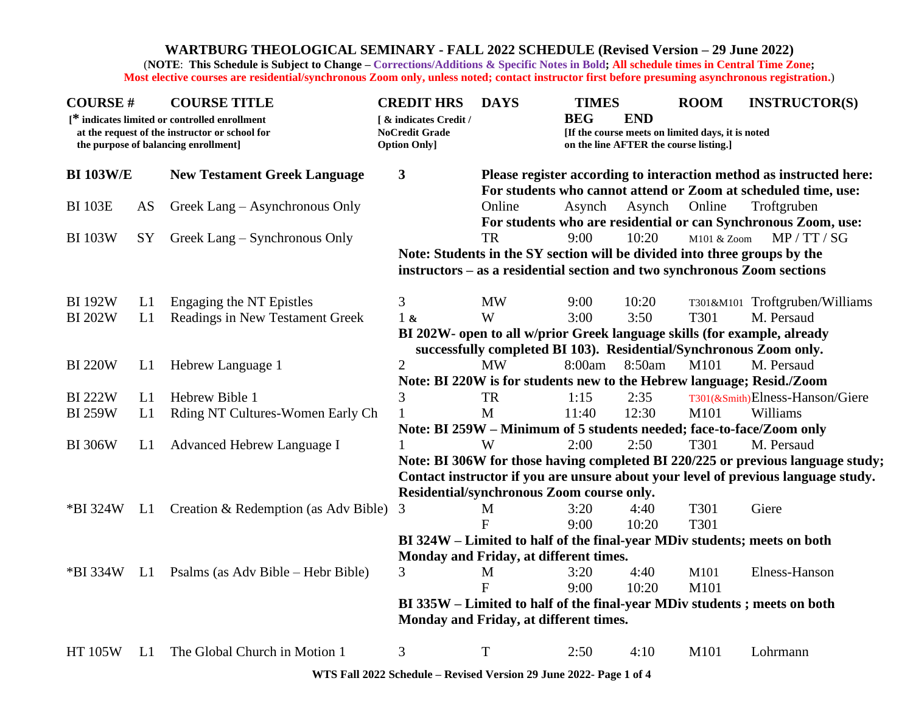## **WARTBURG THEOLOGICAL SEMINARY - FALL 2022 SCHEDULE (Revised Version – 29 June 2022)**

(**NOTE**: **This Schedule is Subject to Change – Corrections/Additions & Specific Notes in Bold; All schedule times in Central Time Zone; Most elective courses are residential/synchronous Zoom only, unless noted; contact instructor first before presuming asynchronous registration.**)

| <b>COURSE#</b>                                                                                                                         |                | <b>COURSE TITLE</b>                  | <b>CREDIT HRS</b>                                                                 | <b>DAYS</b>                                                                     | <b>TIMES</b> |            | <b>ROOM</b>                                                                                 | <b>INSTRUCTOR(S)</b>                                                      |  |  |
|----------------------------------------------------------------------------------------------------------------------------------------|----------------|--------------------------------------|-----------------------------------------------------------------------------------|---------------------------------------------------------------------------------|--------------|------------|---------------------------------------------------------------------------------------------|---------------------------------------------------------------------------|--|--|
| [* indicates limited or controlled enrollment<br>at the request of the instructor or school for<br>the purpose of balancing enrollment |                |                                      | [ & indicates Credit /<br><b>NoCredit Grade</b><br><b>Option Only]</b>            |                                                                                 | <b>BEG</b>   | <b>END</b> | [If the course meets on limited days, it is noted<br>on the line AFTER the course listing.] |                                                                           |  |  |
| <b>BI 103W/E</b><br><b>New Testament Greek Language</b>                                                                                |                | 3                                    | Please register according to interaction method as instructed here:               |                                                                                 |              |            |                                                                                             |                                                                           |  |  |
|                                                                                                                                        |                |                                      |                                                                                   |                                                                                 |              |            |                                                                                             | For students who cannot attend or Zoom at scheduled time, use:            |  |  |
| <b>BI 103E</b>                                                                                                                         | AS             | Greek Lang – Asynchronous Only       |                                                                                   | Online                                                                          | Asynch       | Asynch     | Online                                                                                      | Troftgruben                                                               |  |  |
|                                                                                                                                        |                |                                      |                                                                                   |                                                                                 |              |            |                                                                                             | For students who are residential or can Synchronous Zoom, use:            |  |  |
| <b>BI 103W</b>                                                                                                                         | <b>SY</b>      | Greek Lang – Synchronous Only        |                                                                                   | <b>TR</b>                                                                       | 9:00         | 10:20      | M101 & Zoom                                                                                 | MP / TT / SG                                                              |  |  |
|                                                                                                                                        |                |                                      |                                                                                   |                                                                                 |              |            |                                                                                             | Note: Students in the SY section will be divided into three groups by the |  |  |
|                                                                                                                                        |                |                                      |                                                                                   | instructors – as a residential section and two synchronous Zoom sections        |              |            |                                                                                             |                                                                           |  |  |
| <b>BI 192W</b>                                                                                                                         | L1             | Engaging the NT Epistles             | 3                                                                                 | <b>MW</b>                                                                       | 9:00         | 10:20      |                                                                                             | T301&M101 Troftgruben/Williams                                            |  |  |
| <b>BI 202W</b>                                                                                                                         | L1             | Readings in New Testament Greek      | $1\alpha$                                                                         | W                                                                               | 3:00         | 3:50       | T301                                                                                        | M. Persaud                                                                |  |  |
|                                                                                                                                        |                |                                      | BI 202W- open to all w/prior Greek language skills (for example, already          |                                                                                 |              |            |                                                                                             |                                                                           |  |  |
|                                                                                                                                        |                |                                      |                                                                                   | successfully completed BI 103). Residential/Synchronous Zoom only.              |              |            |                                                                                             |                                                                           |  |  |
| <b>BI220W</b>                                                                                                                          | L <sub>1</sub> | Hebrew Language 1                    | $\overline{2}$                                                                    | <b>MW</b>                                                                       | 8:00am       | 8:50am     | M101                                                                                        | M. Persaud                                                                |  |  |
|                                                                                                                                        |                |                                      |                                                                                   |                                                                                 |              |            |                                                                                             | Note: BI 220W is for students new to the Hebrew language; Resid./Zoom     |  |  |
| <b>BI222W</b>                                                                                                                          | L1             | Hebrew Bible 1                       | 3                                                                                 | <b>TR</b>                                                                       | 1:15         | 2:35       |                                                                                             | T301(&Smith)Elness-Hanson/Giere                                           |  |  |
| <b>BI259W</b>                                                                                                                          | L1             | Rding NT Cultures-Women Early Ch     |                                                                                   | M                                                                               | 11:40        | 12:30      | M101                                                                                        | Williams                                                                  |  |  |
|                                                                                                                                        |                |                                      |                                                                                   |                                                                                 |              |            |                                                                                             | Note: BI 259W - Minimum of 5 students needed; face-to-face/Zoom only      |  |  |
| <b>BI306W</b>                                                                                                                          | L1             | Advanced Hebrew Language I           |                                                                                   | W                                                                               | 2:00         | 2:50       | T301                                                                                        | M. Persaud                                                                |  |  |
|                                                                                                                                        |                |                                      |                                                                                   | Note: BI 306W for those having completed BI 220/225 or previous language study; |              |            |                                                                                             |                                                                           |  |  |
|                                                                                                                                        |                |                                      | Contact instructor if you are unsure about your level of previous language study. |                                                                                 |              |            |                                                                                             |                                                                           |  |  |
|                                                                                                                                        |                |                                      |                                                                                   | Residential/synchronous Zoom course only.                                       |              |            |                                                                                             |                                                                           |  |  |
| *BI 324W                                                                                                                               | L1             | Creation & Redemption (as Adv Bible) | 3                                                                                 | M                                                                               | 3:20         | 4:40       | T301                                                                                        | Giere                                                                     |  |  |
|                                                                                                                                        |                |                                      |                                                                                   | $\mathbf{F}$                                                                    | 9:00         | 10:20      | T301                                                                                        |                                                                           |  |  |
|                                                                                                                                        |                |                                      |                                                                                   |                                                                                 |              |            |                                                                                             | BI 324W – Limited to half of the final-year MDiv students; meets on both  |  |  |
|                                                                                                                                        |                |                                      | Monday and Friday, at different times.                                            |                                                                                 |              |            |                                                                                             |                                                                           |  |  |
| *BI 334W                                                                                                                               | L1             | Psalms (as Adv Bible – Hebr Bible)   | 3                                                                                 | M                                                                               | 3:20         | 4:40       | M101                                                                                        | Elness-Hanson                                                             |  |  |
|                                                                                                                                        |                |                                      |                                                                                   | $\mathbf{F}$                                                                    | 9:00         | 10:20      | M101                                                                                        |                                                                           |  |  |
|                                                                                                                                        |                |                                      | BI 335W - Limited to half of the final-year MDiv students; meets on both          |                                                                                 |              |            |                                                                                             |                                                                           |  |  |
|                                                                                                                                        |                |                                      | Monday and Friday, at different times.                                            |                                                                                 |              |            |                                                                                             |                                                                           |  |  |
| <b>HT 105W</b>                                                                                                                         | L1             | The Global Church in Motion 1        | 3                                                                                 | T                                                                               | 2:50         | 4:10       | M101                                                                                        | Lohrmann                                                                  |  |  |

**WTS Fall 2022 Schedule – Revised Version 29 June 2022- Page 1 of 4**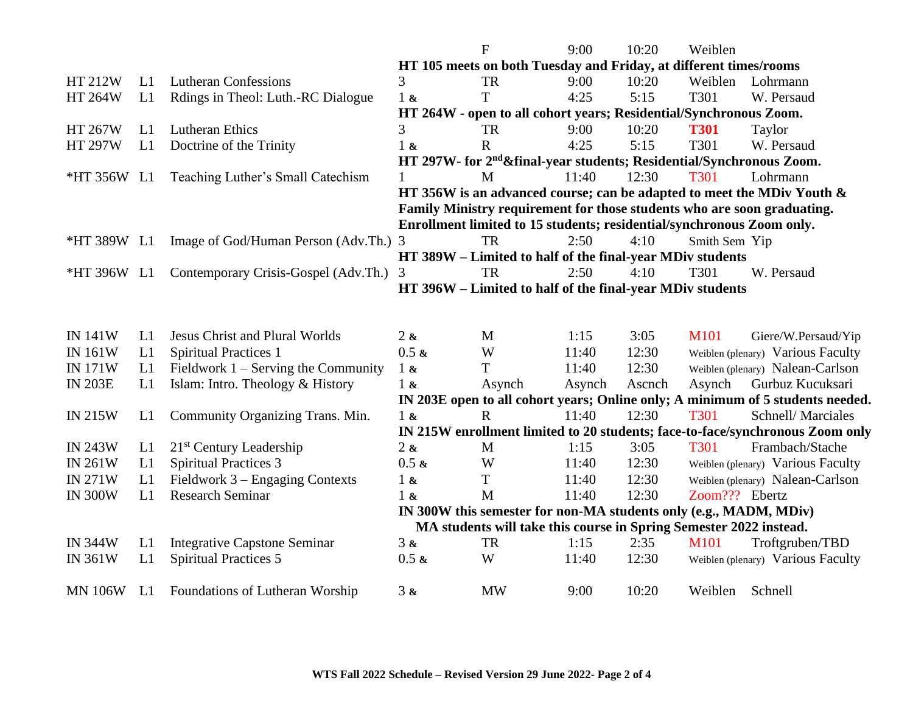|                                  |          |                                                            |                                                                                                                                         | F                                                                                 | 9:00           | 10:20         | Weiblen        |                                                                                                  |  |
|----------------------------------|----------|------------------------------------------------------------|-----------------------------------------------------------------------------------------------------------------------------------------|-----------------------------------------------------------------------------------|----------------|---------------|----------------|--------------------------------------------------------------------------------------------------|--|
|                                  |          |                                                            |                                                                                                                                         | HT 105 meets on both Tuesday and Friday, at different times/rooms                 |                |               |                |                                                                                                  |  |
| HT 212W                          | L1       | <b>Lutheran Confessions</b>                                | 3                                                                                                                                       | <b>TR</b>                                                                         | 9:00           | 10:20         | Weiblen        | Lohrmann                                                                                         |  |
| <b>HT 264W</b>                   | L1       | Rdings in Theol: Luth.-RC Dialogue                         | $1\alpha$                                                                                                                               | T                                                                                 | 4:25           | 5:15          | T301           | W. Persaud                                                                                       |  |
|                                  |          |                                                            |                                                                                                                                         | HT 264W - open to all cohort years; Residential/Synchronous Zoom.                 |                |               |                |                                                                                                  |  |
| HT 267W                          | L1       | Lutheran Ethics                                            | 3                                                                                                                                       | <b>TR</b>                                                                         | 9:00           | 10:20         | <b>T301</b>    | Taylor                                                                                           |  |
| <b>HT 297W</b>                   | L1       | Doctrine of the Trinity                                    | $1\alpha$                                                                                                                               | $\mathbf R$                                                                       | 4:25           | 5:15          | T301           | W. Persaud                                                                                       |  |
|                                  |          |                                                            |                                                                                                                                         | HT 297W- for 2 <sup>nd</sup> & final-year students; Residential/Synchronous Zoom. |                |               |                |                                                                                                  |  |
| *HT 356W L1                      |          | Teaching Luther's Small Catechism                          |                                                                                                                                         | M                                                                                 | 11:40          | 12:30         | <b>T301</b>    | Lohrmann                                                                                         |  |
|                                  |          |                                                            |                                                                                                                                         |                                                                                   |                |               |                | HT 356W is an advanced course; can be adapted to meet the MDiv Youth &                           |  |
|                                  |          |                                                            | Family Ministry requirement for those students who are soon graduating.                                                                 |                                                                                   |                |               |                |                                                                                                  |  |
|                                  |          |                                                            |                                                                                                                                         | Enrollment limited to 15 students; residential/synchronous Zoom only.             |                |               |                |                                                                                                  |  |
| *HT 389W L1                      |          | Image of God/Human Person (Adv.Th.) 3                      |                                                                                                                                         | <b>TR</b>                                                                         | 2:50           | 4:10          | Smith Sem Yip  |                                                                                                  |  |
|                                  |          |                                                            | HT 389W - Limited to half of the final-year MDiv students                                                                               |                                                                                   |                |               |                |                                                                                                  |  |
| *HT 396W L1                      |          | Contemporary Crisis-Gospel (Adv.Th.)                       | 3                                                                                                                                       | <b>TR</b>                                                                         | 2:50           | 4:10          | T301           | W. Persaud                                                                                       |  |
|                                  |          |                                                            | HT 396W – Limited to half of the final-year MDiv students                                                                               |                                                                                   |                |               |                |                                                                                                  |  |
|                                  |          |                                                            |                                                                                                                                         |                                                                                   |                |               |                |                                                                                                  |  |
|                                  |          |                                                            |                                                                                                                                         |                                                                                   |                |               |                |                                                                                                  |  |
| <b>IN 141W</b>                   | L1       | <b>Jesus Christ and Plural Worlds</b>                      | 2x                                                                                                                                      | M                                                                                 | 1:15           | 3:05          | M101           | Giere/W.Persaud/Yip                                                                              |  |
| <b>IN 161W</b>                   | L1       | <b>Spiritual Practices 1</b>                               | $0.5 \; \textbf{k}$                                                                                                                     | W                                                                                 | 11:40          | 12:30         |                | Weiblen (plenary) Various Faculty                                                                |  |
| <b>IN 171W</b>                   | L1       | Fieldwork $1 -$ Serving the Community                      | $1\&$                                                                                                                                   | T                                                                                 | 11:40          | 12:30         |                | Weiblen (plenary) Nalean-Carlson                                                                 |  |
| <b>IN 203E</b>                   | L1       | Islam: Intro. Theology & History                           | $1\alpha$                                                                                                                               | Asynch                                                                            | Asynch         | Ascnch        | Asynch         | Gurbuz Kucuksari                                                                                 |  |
|                                  |          |                                                            |                                                                                                                                         | $\mathbf R$                                                                       | 11:40          |               | <b>T301</b>    | IN 203E open to all cohort years; Online only; A minimum of 5 students needed.                   |  |
| <b>IN 215W</b>                   | L1       | Community Organizing Trans. Min.                           | $1\alpha$                                                                                                                               |                                                                                   |                | 12:30         |                | Schnell/Marciales                                                                                |  |
|                                  |          |                                                            |                                                                                                                                         |                                                                                   |                |               | T301           | IN 215W enrollment limited to 20 students; face-to-face/synchronous Zoom only<br>Frambach/Stache |  |
| <b>IN 243W</b>                   | L1       | $21st$ Century Leadership<br><b>Spiritual Practices 3</b>  | 2x<br>$0.5 \; x$                                                                                                                        | M<br>W                                                                            | 1:15<br>11:40  | 3:05<br>12:30 |                |                                                                                                  |  |
| <b>IN 261W</b><br><b>IN 271W</b> | L1<br>L1 |                                                            |                                                                                                                                         | T                                                                                 |                | 12:30         |                | Weiblen (plenary) Various Faculty                                                                |  |
| <b>IN 300W</b>                   | L1       | Fieldwork 3 – Engaging Contexts<br><b>Research Seminar</b> | $1\alpha$<br>1 <sub>k</sub>                                                                                                             | M                                                                                 | 11:40<br>11:40 | 12:30         | Zoom??? Ebertz | Weiblen (plenary) Nalean-Carlson                                                                 |  |
|                                  |          |                                                            |                                                                                                                                         |                                                                                   |                |               |                |                                                                                                  |  |
|                                  |          |                                                            | IN 300W this semester for non-MA students only (e.g., MADM, MDiv)<br>MA students will take this course in Spring Semester 2022 instead. |                                                                                   |                |               |                |                                                                                                  |  |
| <b>IN 344W</b>                   | L1       | <b>Integrative Capstone Seminar</b>                        | 3x                                                                                                                                      | <b>TR</b>                                                                         | 1:15           | 2:35          | M101           | Troftgruben/TBD                                                                                  |  |
| <b>IN 361W</b>                   | L1       | <b>Spiritual Practices 5</b>                               | $0.5 \; x$                                                                                                                              | W                                                                                 | 11:40          | 12:30         |                | Weiblen (plenary) Various Faculty                                                                |  |
|                                  |          |                                                            |                                                                                                                                         |                                                                                   |                |               |                |                                                                                                  |  |
| <b>MN 106W</b>                   | L1       | Foundations of Lutheran Worship                            | 3 &                                                                                                                                     | <b>MW</b>                                                                         | 9:00           | 10:20         | Weiblen        | Schnell                                                                                          |  |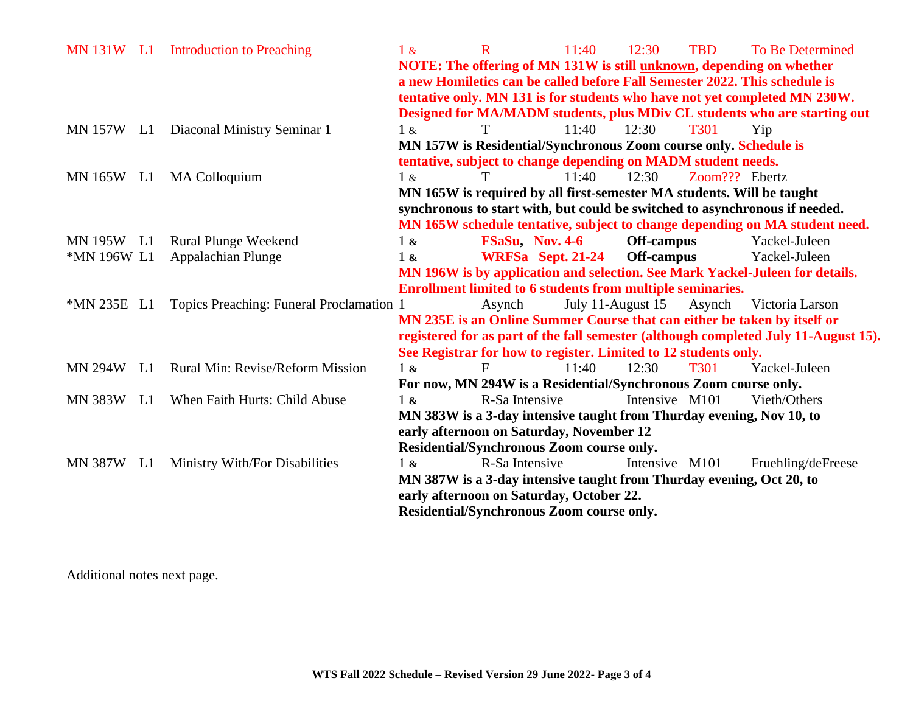| MN 131W L1     |    | <b>Introduction to Preaching</b>         | $1\&$                                                                               | $\mathbf R$     | 11:40                                                                      | 12:30          | <b>TBD</b>     | <b>To Be Determined</b>                                                      |  |
|----------------|----|------------------------------------------|-------------------------------------------------------------------------------------|-----------------|----------------------------------------------------------------------------|----------------|----------------|------------------------------------------------------------------------------|--|
|                |    |                                          |                                                                                     |                 | NOTE: The offering of MN 131W is still unknown, depending on whether       |                |                |                                                                              |  |
|                |    |                                          |                                                                                     |                 | a new Homiletics can be called before Fall Semester 2022. This schedule is |                |                |                                                                              |  |
|                |    |                                          |                                                                                     |                 |                                                                            |                |                | tentative only. MN 131 is for students who have not yet completed MN 230W.   |  |
|                |    |                                          |                                                                                     |                 |                                                                            |                |                | Designed for MA/MADM students, plus MDiv CL students who are starting out    |  |
| MN 157W L1     |    | Diaconal Ministry Seminar 1              | 1 &                                                                                 | T               | 11:40                                                                      | 12:30          | <b>T301</b>    | Yip                                                                          |  |
|                |    |                                          |                                                                                     |                 | MN 157W is Residential/Synchronous Zoom course only. Schedule is           |                |                |                                                                              |  |
|                |    |                                          |                                                                                     |                 | tentative, subject to change depending on MADM student needs.              |                |                |                                                                              |  |
| <b>MN 165W</b> | L1 | <b>MA Colloquium</b>                     | 1 &                                                                                 | T               | 11:40                                                                      | 12:30          | Zoom??? Ebertz |                                                                              |  |
|                |    |                                          | MN 165W is required by all first-semester MA students. Will be taught               |                 |                                                                            |                |                |                                                                              |  |
|                |    |                                          |                                                                                     |                 |                                                                            |                |                | synchronous to start with, but could be switched to asynchronous if needed.  |  |
|                |    |                                          |                                                                                     |                 |                                                                            |                |                | MN 165W schedule tentative, subject to change depending on MA student need.  |  |
| MN 195W        | L1 | <b>Rural Plunge Weekend</b>              | $1\,\mathrm{\&}$                                                                    | FSaSu, Nov. 4-6 |                                                                            | Off-campus     |                | Yackel-Juleen                                                                |  |
| *MN 196W L1    |    | <b>Appalachian Plunge</b>                | $1\;{\rm\textit{k}}$                                                                |                 | WRFSa Sept. 21-24                                                          | Off-campus     |                | Yackel-Juleen                                                                |  |
|                |    |                                          |                                                                                     |                 |                                                                            |                |                | MN 196W is by application and selection. See Mark Yackel-Juleen for details. |  |
|                |    |                                          |                                                                                     |                 | <b>Enrollment limited to 6 students from multiple seminaries.</b>          |                |                |                                                                              |  |
| *MN 235E L1    |    | Topics Preaching: Funeral Proclamation 1 |                                                                                     | Asynch          | July 11-August 15                                                          |                | Asynch         | Victoria Larson                                                              |  |
|                |    |                                          |                                                                                     |                 |                                                                            |                |                | MN 235E is an Online Summer Course that can either be taken by itself or     |  |
|                |    |                                          | registered for as part of the fall semester (although completed July 11-August 15). |                 |                                                                            |                |                |                                                                              |  |
|                |    |                                          |                                                                                     |                 | See Registrar for how to register. Limited to 12 students only.            |                |                |                                                                              |  |
| <b>MN 294W</b> | L1 | <b>Rural Min: Revise/Reform Mission</b>  | 1 <sub>8</sub>                                                                      | F               | 11:40                                                                      | 12:30          | <b>T301</b>    | Yackel-Juleen                                                                |  |
|                |    |                                          |                                                                                     |                 | For now, MN 294W is a Residential/Synchronous Zoom course only.            |                |                |                                                                              |  |
| <b>MN 383W</b> | L1 | When Faith Hurts: Child Abuse            | $1\&$                                                                               | R-Sa Intensive  |                                                                            | Intensive M101 |                | Vieth/Others                                                                 |  |
|                |    |                                          |                                                                                     |                 | MN 383W is a 3-day intensive taught from Thurday evening, Nov 10, to       |                |                |                                                                              |  |
|                |    |                                          |                                                                                     |                 | early afternoon on Saturday, November 12                                   |                |                |                                                                              |  |
|                |    |                                          |                                                                                     |                 | Residential/Synchronous Zoom course only.                                  |                |                |                                                                              |  |
| <b>MN 387W</b> | L1 | Ministry With/For Disabilities           | $1 \&$                                                                              | R-Sa Intensive  |                                                                            | Intensive M101 |                | Fruehling/deFreese                                                           |  |
|                |    |                                          |                                                                                     |                 | MN 387W is a 3-day intensive taught from Thurday evening, Oct 20, to       |                |                |                                                                              |  |
|                |    |                                          |                                                                                     |                 | early afternoon on Saturday, October 22.                                   |                |                |                                                                              |  |
|                |    |                                          |                                                                                     |                 | Residential/Synchronous Zoom course only.                                  |                |                |                                                                              |  |
|                |    |                                          |                                                                                     |                 |                                                                            |                |                |                                                                              |  |

Additional notes next page.